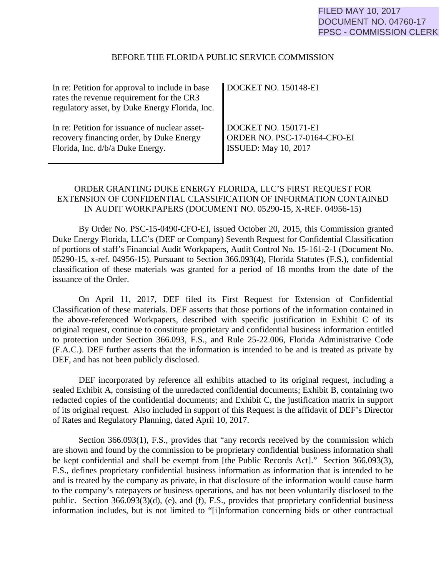## BEFORE THE FLORIDA PUBLIC SERVICE COMMISSION

| In re: Petition for approval to include in base<br>rates the revenue requirement for the CR3<br>regulatory asset, by Duke Energy Florida, Inc. | $\parallel$ DOCKET NO. 150148-EI |
|------------------------------------------------------------------------------------------------------------------------------------------------|----------------------------------|
| In re: Petition for issuance of nuclear asset-                                                                                                 | DOCKET NO. 150171-EI             |
| recovery financing order, by Duke Energy                                                                                                       | ORDER NO. PSC-17-0164-CFO-EI     |
| Florida, Inc. d/b/a Duke Energy.                                                                                                               | <b>ISSUED:</b> May 10, 2017      |

## ORDER GRANTING DUKE ENERGY FLORIDA, LLC'S FIRST REQUEST FOR EXTENSION OF CONFIDENTIAL CLASSIFICATION OF INFORMATION CONTAINED IN AUDIT WORKPAPERS (DOCUMENT NO. 05290-15, X-REF. 04956-15)

By Order No. PSC-15-0490-CFO-EI, issued October 20, 2015, this Commission granted Duke Energy Florida, LLC's (DEF or Company) Seventh Request for Confidential Classification of portions of staff's Financial Audit Workpapers, Audit Control No. 15-161-2-1 (Document No. 05290-15, x-ref. 04956-15). Pursuant to Section 366.093(4), Florida Statutes (F.S.), confidential classification of these materials was granted for a period of 18 months from the date of the issuance of the Order.

On April 11, 2017, DEF filed its First Request for Extension of Confidential Classification of these materials. DEF asserts that those portions of the information contained in the above-referenced Workpapers, described with specific justification in Exhibit C of its original request, continue to constitute proprietary and confidential business information entitled to protection under Section 366.093, F.S., and Rule 25-22.006, Florida Administrative Code (F.A.C.). DEF further asserts that the information is intended to be and is treated as private by DEF, and has not been publicly disclosed.

DEF incorporated by reference all exhibits attached to its original request, including a sealed Exhibit A, consisting of the unredacted confidential documents; Exhibit B, containing two redacted copies of the confidential documents; and Exhibit C, the justification matrix in support of its original request. Also included in support of this Request is the affidavit of DEF's Director of Rates and Regulatory Planning, dated April 10, 2017.

Section 366.093(1), F.S., provides that "any records received by the commission which are shown and found by the commission to be proprietary confidential business information shall be kept confidential and shall be exempt from [the Public Records Act]." Section 366.093(3), F.S., defines proprietary confidential business information as information that is intended to be and is treated by the company as private, in that disclosure of the information would cause harm to the company's ratepayers or business operations, and has not been voluntarily disclosed to the public. Section 366.093(3)(d), (e), and (f), F.S., provides that proprietary confidential business information includes, but is not limited to "[i]nformation concerning bids or other contractual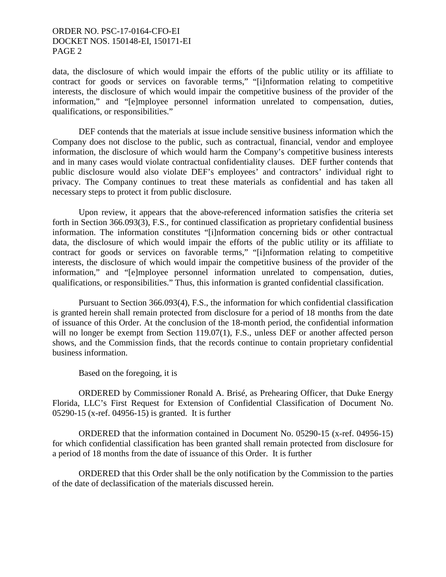## ORDER NO. PSC-17-0164-CFO-EI DOCKET NOS. 150148-EI, 150171-EI PAGE 2

data, the disclosure of which would impair the efforts of the public utility or its affiliate to contract for goods or services on favorable terms," "[i]nformation relating to competitive interests, the disclosure of which would impair the competitive business of the provider of the information," and "[e]mployee personnel information unrelated to compensation, duties, qualifications, or responsibilities."

DEF contends that the materials at issue include sensitive business information which the Company does not disclose to the public, such as contractual, financial, vendor and employee information, the disclosure of which would harm the Company's competitive business interests and in many cases would violate contractual confidentiality clauses. DEF further contends that public disclosure would also violate DEF's employees' and contractors' individual right to privacy. The Company continues to treat these materials as confidential and has taken all necessary steps to protect it from public disclosure.

Upon review, it appears that the above-referenced information satisfies the criteria set forth in Section 366.093(3), F.S., for continued classification as proprietary confidential business information. The information constitutes "[i]nformation concerning bids or other contractual data, the disclosure of which would impair the efforts of the public utility or its affiliate to contract for goods or services on favorable terms," "[i]nformation relating to competitive interests, the disclosure of which would impair the competitive business of the provider of the information," and "[e]mployee personnel information unrelated to compensation, duties, qualifications, or responsibilities." Thus, this information is granted confidential classification.

Pursuant to Section 366.093(4), F.S., the information for which confidential classification is granted herein shall remain protected from disclosure for a period of 18 months from the date of issuance of this Order. At the conclusion of the 18-month period, the confidential information will no longer be exempt from Section 119.07(1), F.S., unless DEF or another affected person shows, and the Commission finds, that the records continue to contain proprietary confidential business information.

Based on the foregoing, it is

ORDERED by Commissioner Ronald A. Brisé, as Prehearing Officer, that Duke Energy Florida, LLC's First Request for Extension of Confidential Classification of Document No. 05290-15 (x-ref. 04956-15) is granted. It is further

ORDERED that the information contained in Document No. 05290-15 (x-ref. 04956-15) for which confidential classification has been granted shall remain protected from disclosure for a period of 18 months from the date of issuance of this Order. It is further

ORDERED that this Order shall be the only notification by the Commission to the parties of the date of declassification of the materials discussed herein.